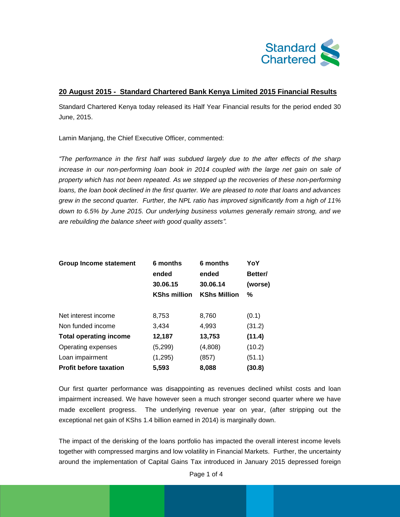

## **20 August 2015 - Standard Chartered Bank Kenya Limited 2015 Financial Results**

Standard Chartered Kenya today released its Half Year Financial results for the period ended 30 June, 2015.

Lamin Manjang, the Chief Executive Officer, commented:

*"The performance in the first half was subdued largely due to the after effects of the sharp*  increase in our non-performing loan book in 2014 coupled with the large net gain on sale of *property which has not been repeated. As we stepped up the recoveries of these non-performing loans, the loan book declined in the first quarter. We are pleased to note that loans and advances grew in the second quarter. Further, the NPL ratio has improved significantly from a high of 11% down to 6.5% by June 2015. Our underlying business volumes generally remain strong, and we are rebuilding the balance sheet with good quality assets".*

| <b>Group Income statement</b> | 6 months            | 6 months<br>ended<br>30.06.14 | YoY<br>Better/<br>(worse) |
|-------------------------------|---------------------|-------------------------------|---------------------------|
|                               | ended               |                               |                           |
|                               | 30.06.15            |                               |                           |
|                               | <b>KShs million</b> | <b>KShs Million</b>           | %                         |
| Net interest income           | 8,753               | 8,760                         | (0.1)                     |
| Non funded income             | 3,434               | 4,993                         | (31.2)                    |
| <b>Total operating income</b> | 12,187              | 13,753                        | (11.4)                    |
| Operating expenses            | (5,299)             | (4,808)                       | (10.2)                    |
| Loan impairment               | (1,295)             | (857)                         | (51.1)                    |
| <b>Profit before taxation</b> | 5,593               | 8,088                         | (30.8)                    |

Our first quarter performance was disappointing as revenues declined whilst costs and loan impairment increased. We have however seen a much stronger second quarter where we have made excellent progress. The underlying revenue year on year, (after stripping out the exceptional net gain of KShs 1.4 billion earned in 2014) is marginally down.

The impact of the derisking of the loans portfolio has impacted the overall interest income levels together with compressed margins and low volatility in Financial Markets. Further, the uncertainty around the implementation of Capital Gains Tax introduced in January 2015 depressed foreign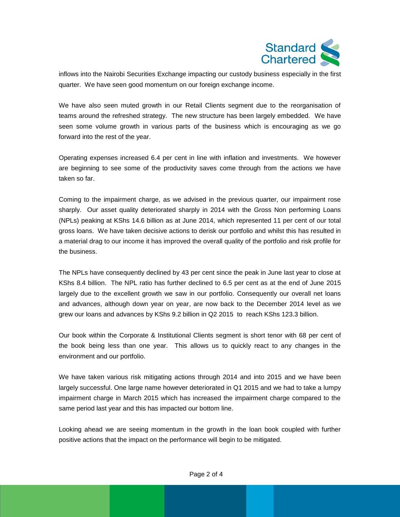

inflows into the Nairobi Securities Exchange impacting our custody business especially in the first quarter. We have seen good momentum on our foreign exchange income.

We have also seen muted growth in our Retail Clients segment due to the reorganisation of teams around the refreshed strategy. The new structure has been largely embedded. We have seen some volume growth in various parts of the business which is encouraging as we go forward into the rest of the year.

Operating expenses increased 6.4 per cent in line with inflation and investments. We however are beginning to see some of the productivity saves come through from the actions we have taken so far.

Coming to the impairment charge, as we advised in the previous quarter, our impairment rose sharply. Our asset quality deteriorated sharply in 2014 with the Gross Non performing Loans (NPLs) peaking at KShs 14.6 billion as at June 2014, which represented 11 per cent of our total gross loans. We have taken decisive actions to derisk our portfolio and whilst this has resulted in a material drag to our income it has improved the overall quality of the portfolio and risk profile for the business.

The NPLs have consequently declined by 43 per cent since the peak in June last year to close at KShs 8.4 billion. The NPL ratio has further declined to 6.5 per cent as at the end of June 2015 largely due to the excellent growth we saw in our portfolio. Consequently our overall net loans and advances, although down year on year, are now back to the December 2014 level as we grew our loans and advances by KShs 9.2 billion in Q2 2015 to reach KShs 123.3 billion.

Our book within the Corporate & Institutional Clients segment is short tenor with 68 per cent of the book being less than one year. This allows us to quickly react to any changes in the environment and our portfolio.

We have taken various risk mitigating actions through 2014 and into 2015 and we have been largely successful. One large name however deteriorated in Q1 2015 and we had to take a lumpy impairment charge in March 2015 which has increased the impairment charge compared to the same period last year and this has impacted our bottom line.

Looking ahead we are seeing momentum in the growth in the loan book coupled with further positive actions that the impact on the performance will begin to be mitigated.

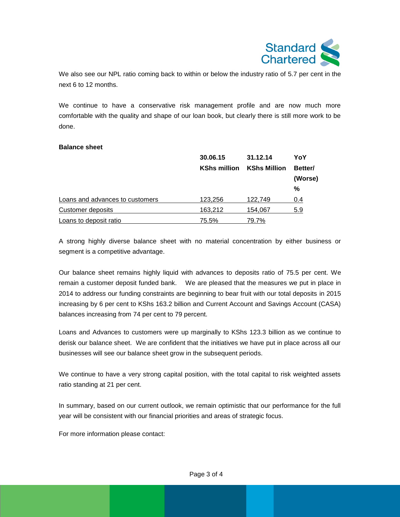

We also see our NPL ratio coming back to within or below the industry ratio of 5.7 per cent in the next 6 to 12 months.

We continue to have a conservative risk management profile and are now much more comfortable with the quality and shape of our loan book, but clearly there is still more work to be done.

## **Balance sheet**

|                                 | 30.06.15<br><b>KShs million</b> | 31.12.14<br><b>KShs Million</b> | YoY<br>Better/ |
|---------------------------------|---------------------------------|---------------------------------|----------------|
|                                 |                                 |                                 |                |
|                                 |                                 |                                 | (Worse)        |
|                                 |                                 |                                 | %              |
| Loans and advances to customers | 123,256                         | 122,749                         | 0.4            |
| Customer deposits               | 163,212                         | 154,067                         | 5.9            |
| Loans to deposit ratio          | 75.5%                           | 79.7%                           |                |

A strong highly diverse balance sheet with no material concentration by either business or segment is a competitive advantage.

Our balance sheet remains highly liquid with advances to deposits ratio of 75.5 per cent. We remain a customer deposit funded bank. We are pleased that the measures we put in place in 2014 to address our funding constraints are beginning to bear fruit with our total deposits in 2015 increasing by 6 per cent to KShs 163.2 billion and Current Account and Savings Account (CASA) balances increasing from 74 per cent to 79 percent.

Loans and Advances to customers were up marginally to KShs 123.3 billion as we continue to derisk our balance sheet. We are confident that the initiatives we have put in place across all our businesses will see our balance sheet grow in the subsequent periods.

We continue to have a very strong capital position, with the total capital to risk weighted assets ratio standing at 21 per cent.

In summary, based on our current outlook, we remain optimistic that our performance for the full year will be consistent with our financial priorities and areas of strategic focus.

For more information please contact: